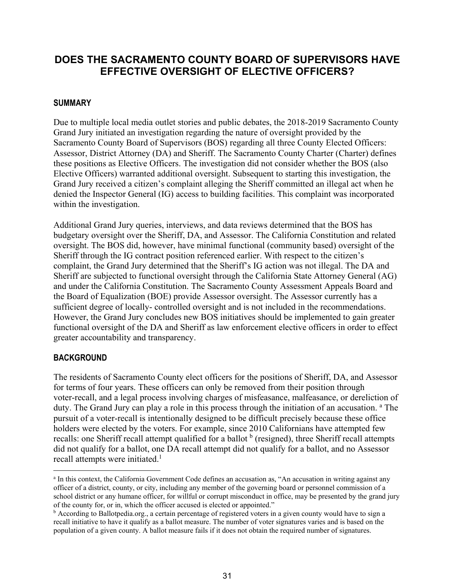# **DOES THE SACRAMENTO COUNTY BOARD OF SUPERVISORS HAVE EFFECTIVE OVERSIGHT OF ELECTIVE OFFICERS?**

### **SUMMARY**

Due to multiple local media outlet stories and public debates, the 2018-2019 Sacramento County Grand Jury initiated an investigation regarding the nature of oversight provided by the Sacramento County Board of Supervisors (BOS) regarding all three County Elected Officers: Assessor, District Attorney (DA) and Sheriff. The Sacramento County Charter (Charter) defines these positions as Elective Officers. The investigation did not consider whether the BOS (also Elective Officers) warranted additional oversight. Subsequent to starting this investigation, the Grand Jury received a citizen's complaint alleging the Sheriff committed an illegal act when he denied the Inspector General (IG) access to building facilities. This complaint was incorporated within the investigation.

Additional Grand Jury queries, interviews, and data reviews determined that the BOS has budgetary oversight over the Sheriff, DA, and Assessor. The California Constitution and related oversight. The BOS did, however, have minimal functional (community based) oversight of the Sheriff through the IG contract position referenced earlier. With respect to the citizen's complaint, the Grand Jury determined that the Sheriff's IG action was not illegal. The DA and Sheriff are subjected to functional oversight through the California State Attorney General (AG) and under the California Constitution. The Sacramento County Assessment Appeals Board and the Board of Equalization (BOE) provide Assessor oversight. The Assessor currently has a sufficient degree of locally- controlled oversight and is not included in the recommendations. However, the Grand Jury concludes new BOS initiatives should be implemented to gain greater functional oversight of the DA and Sheriff as law enforcement elective officers in order to effect greater accountability and transparency.

#### **BACKGROUND**

The residents of Sacramento County elect officers for the positions of Sheriff, DA, and Assessor for terms of four years. These officers can only be removed from their position through voter-recall, and a legal process involving charges of misfeasance, malfeasance, or dereliction of duty. The Grand Jury can play a role in this process through the initiation of an accusation. <sup>a</sup> The pursuit of a voter-recall is intentionally designed to be difficult precisely because these office holders were elected by the voters. For example, since 2010 Californians have attempted few recalls: one Sheriff recall attempt qualified for a ballot  $<sup>b</sup>$  (resigned), three Sheriff recall attempts</sup> did not qualify for a ballot, one DA recall attempt did not qualify for a ballot, and no Assessor recall attempts were initiated.<sup>1</sup>

a In this context, the California Government Code defines an accusation as, "An accusation in writing against any officer of a district, county, or city, including any member of the governing board or personnel commission of a school district or any humane officer, for willful or corrupt misconduct in office, may be presented by the grand jury of the county for, or in, which the officer accused is elected or appointed."

 $\bar{b}$  According to Ballotpedia.org., a certain percentage of registered voters in a given county would have to sign a recall initiative to have it qualify as a ballot measure. The number of voter signatures varies and is based on the population of a given county. A ballot measure fails if it does not obtain the required number of signatures.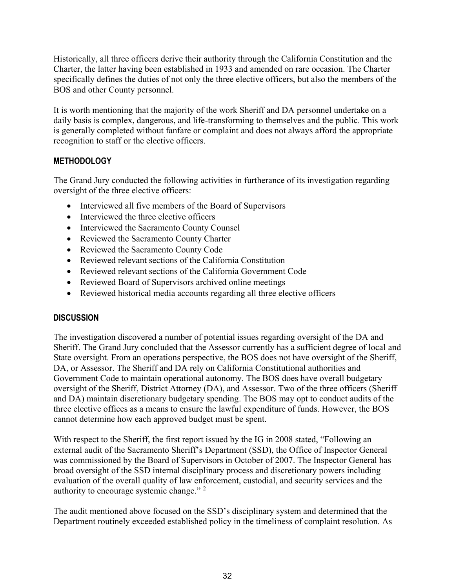Historically, all three officers derive their authority through the California Constitution and the Charter, the latter having been established in 1933 and amended on rare occasion. The Charter specifically defines the duties of not only the three elective officers, but also the members of the BOS and other County personnel.

It is worth mentioning that the majority of the work Sheriff and DA personnel undertake on a daily basis is complex, dangerous, and life-transforming to themselves and the public. This work is generally completed without fanfare or complaint and does not always afford the appropriate recognition to staff or the elective officers.

### **METHODOLOGY**

The Grand Jury conducted the following activities in furtherance of its investigation regarding oversight of the three elective officers:

- Interviewed all five members of the Board of Supervisors
- Interviewed the three elective officers
- Interviewed the Sacramento County Counsel
- Reviewed the Sacramento County Charter
- Reviewed the Sacramento County Code
- Reviewed relevant sections of the California Constitution
- Reviewed relevant sections of the California Government Code
- Reviewed Board of Supervisors archived online meetings
- Reviewed historical media accounts regarding all three elective officers

### **DISCUSSION**

The investigation discovered a number of potential issues regarding oversight of the DA and Sheriff. The Grand Jury concluded that the Assessor currently has a sufficient degree of local and State oversight. From an operations perspective, the BOS does not have oversight of the Sheriff, DA, or Assessor. The Sheriff and DA rely on California Constitutional authorities and Government Code to maintain operational autonomy. The BOS does have overall budgetary oversight of the Sheriff, District Attorney (DA), and Assessor. Two of the three officers (Sheriff and DA) maintain discretionary budgetary spending. The BOS may opt to conduct audits of the three elective offices as a means to ensure the lawful expenditure of funds. However, the BOS cannot determine how each approved budget must be spent.

With respect to the Sheriff, the first report issued by the IG in 2008 stated, "Following an external audit of the Sacramento Sheriff's Department (SSD), the Office of Inspector General was commissioned by the Board of Supervisors in October of 2007. The Inspector General has broad oversight of the SSD internal disciplinary process and discretionary powers including evaluation of the overall quality of law enforcement, custodial, and security services and the authority to encourage systemic change."<sup>2</sup>

The audit mentioned above focused on the SSD's disciplinary system and determined that the Department routinely exceeded established policy in the timeliness of complaint resolution. As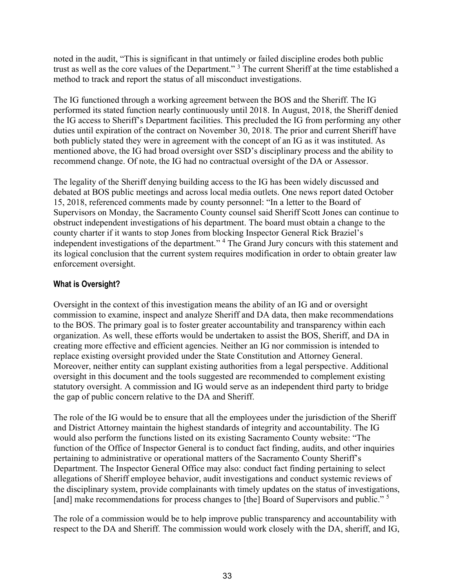noted in the audit, "This is significant in that untimely or failed discipline erodes both public trust as well as the core values of the Department." <sup>3</sup> The current Sheriff at the time established a method to track and report the status of all misconduct investigations.

The IG functioned through a working agreement between the BOS and the Sheriff. The IG performed its stated function nearly continuously until 2018. In August, 2018, the Sheriff denied the IG access to Sheriff's Department facilities. This precluded the IG from performing any other duties until expiration of the contract on November 30, 2018. The prior and current Sheriff have both publicly stated they were in agreement with the concept of an IG as it was instituted. As mentioned above, the IG had broad oversight over SSD's disciplinary process and the ability to recommend change. Of note, the IG had no contractual oversight of the DA or Assessor.

The legality of the Sheriff denying building access to the IG has been widely discussed and debated at BOS public meetings and across local media outlets. One news report dated October 15, 2018, referenced comments made by county personnel: "In a letter to the Board of Supervisors on Monday, the Sacramento County counsel said Sheriff Scott Jones can continue to obstruct independent investigations of his department. The board must obtain a change to the county charter if it wants to stop Jones from blocking Inspector General Rick Braziel's independent investigations of the department." <sup>4</sup> The Grand Jury concurs with this statement and its logical conclusion that the current system requires modification in order to obtain greater law enforcement oversight.

## **What is Oversight?**

Oversight in the context of this investigation means the ability of an IG and or oversight commission to examine, inspect and analyze Sheriff and DA data, then make recommendations to the BOS. The primary goal is to foster greater accountability and transparency within each organization. As well, these efforts would be undertaken to assist the BOS, Sheriff, and DA in creating more effective and efficient agencies. Neither an IG nor commission is intended to replace existing oversight provided under the State Constitution and Attorney General. Moreover, neither entity can supplant existing authorities from a legal perspective. Additional oversight in this document and the tools suggested are recommended to complement existing statutory oversight. A commission and IG would serve as an independent third party to bridge the gap of public concern relative to the DA and Sheriff.

The role of the IG would be to ensure that all the employees under the jurisdiction of the Sheriff and District Attorney maintain the highest standards of integrity and accountability. The IG would also perform the functions listed on its existing Sacramento County website: "The function of the Office of Inspector General is to conduct fact finding, audits, and other inquiries pertaining to administrative or operational matters of the Sacramento County Sheriff's Department. The Inspector General Office may also: conduct fact finding pertaining to select allegations of Sheriff employee behavior, audit investigations and conduct systemic reviews of the disciplinary system, provide complainants with timely updates on the status of investigations, [and] make recommendations for process changes to [the] Board of Supervisors and public." <sup>5</sup>

The role of a commission would be to help improve public transparency and accountability with respect to the DA and Sheriff. The commission would work closely with the DA, sheriff, and IG,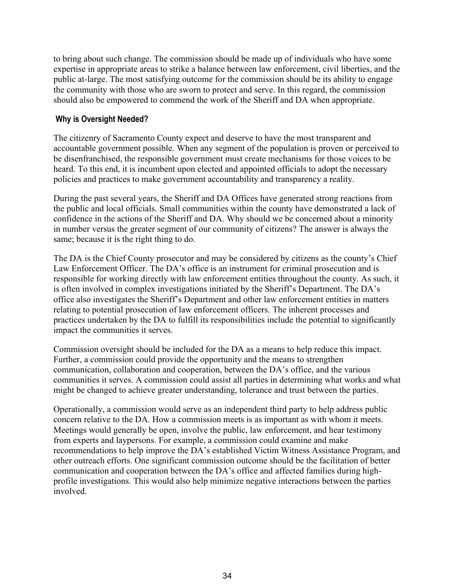to bring about such change. The commission should be made up of individuals who have some expertise in appropriate areas to strike a balance between law enforcement, civil liberties, and the public at-large. The most satisfying outcome for the commission should be its ability to engage the community with those who are sworn to protect and serve. In this regard, the commission should also be empowered to commend the work of the Sheriff and DA when appropriate.

### **Why is Oversight Needed?**

The citizenry of Sacramento County expect and deserve to have the most transparent and accountable government possible. When any segment of the population is proven or perceived to be disenfranchised, the responsible government must create mechanisms for those voices to be heard. To this end, it is incumbent upon elected and appointed officials to adopt the necessary policies and practices to make government accountability and transparency a reality.

During the past several years, the Sheriff and DA Offices have generated strong reactions from the public and local officials. Small communities within the county have demonstrated a lack of confidence in the actions of the Sheriff and DA. Why should we be concerned about a minority in number versus the greater segment of our community of citizens? The answer is always the same; because it is the right thing to do.

The DA is the Chief County prosecutor and may be considered by citizens as the county's Chief Law Enforcement Officer. The DA's office is an instrument for criminal prosecution and is responsible for working directly with law enforcement entities throughout the county. As such, it is often involved in complex investigations initiated by the Sheriff's Department. The DA's office also investigates the Sheriff's Department and other law enforcement entities in matters relating to potential prosecution of law enforcement officers. The inherent processes and practices undertaken by the DA to fulfill its responsibilities include the potential to significantly impact the communities it serves.

Commission oversight should be included for the DA as a means to help reduce this impact. Further, a commission could provide the opportunity and the means to strengthen communication, collaboration and cooperation, between the DA's office, and the various communities it serves. A commission could assist all parties in determining what works and what might be changed to achieve greater understanding, tolerance and trust between the parties.

Operationally, a commission would serve as an independent third party to help address public concern relative to the DA. How a commission meets is as important as with whom it meets. Meetings would generally be open, involve the public, law enforcement, and hear testimony from experts and laypersons. For example, a commission could examine and make recommendations to help improve the DA's established Victim Witness Assistance Program, and other outreach efforts. One significant commission outcome should be the facilitation of better communication and cooperation between the DA's office and affected families during highprofile investigations. This would also help minimize negative interactions between the parties involved.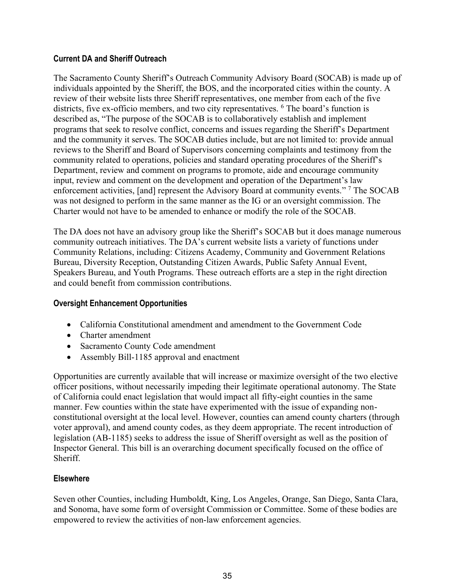### **Current DA and Sheriff Outreach**

The Sacramento County Sheriff's Outreach Community Advisory Board (SOCAB) is made up of individuals appointed by the Sheriff, the BOS, and the incorporated cities within the county. A review of their website lists three Sheriff representatives, one member from each of the five districts, five ex-officio members, and two city representatives. <sup>6</sup> The board's function is described as, "The purpose of the SOCAB is to collaboratively establish and implement programs that seek to resolve conflict, concerns and issues regarding the Sheriff's Department and the community it serves. The SOCAB duties include, but are not limited to: provide annual reviews to the Sheriff and Board of Supervisors concerning complaints and testimony from the community related to operations, policies and standard operating procedures of the Sheriff's Department, review and comment on programs to promote, aide and encourage community input, review and comment on the development and operation of the Department's law enforcement activities, [and] represent the Advisory Board at community events." <sup>7</sup> The SOCAB was not designed to perform in the same manner as the IG or an oversight commission. The Charter would not have to be amended to enhance or modify the role of the SOCAB.

The DA does not have an advisory group like the Sheriff's SOCAB but it does manage numerous community outreach initiatives. The DA's current website lists a variety of functions under Community Relations, including: Citizens Academy, Community and Government Relations Bureau, Diversity Reception, Outstanding Citizen Awards, Public Safety Annual Event, Speakers Bureau, and Youth Programs. These outreach efforts are a step in the right direction and could benefit from commission contributions.

### **Oversight Enhancement Opportunities**

- California Constitutional amendment and amendment to the Government Code
- Charter amendment
- Sacramento County Code amendment
- Assembly Bill-1185 approval and enactment

Opportunities are currently available that will increase or maximize oversight of the two elective officer positions, without necessarily impeding their legitimate operational autonomy. The State of California could enact legislation that would impact all fifty-eight counties in the same manner. Few counties within the state have experimented with the issue of expanding nonconstitutional oversight at the local level. However, counties can amend county charters (through voter approval), and amend county codes, as they deem appropriate. The recent introduction of legislation (AB-1185) seeks to address the issue of Sheriff oversight as well as the position of Inspector General. This bill is an overarching document specifically focused on the office of Sheriff.

#### **Elsewhere**

Seven other Counties, including Humboldt, King, Los Angeles, Orange, San Diego, Santa Clara, and Sonoma, have some form of oversight Commission or Committee. Some of these bodies are empowered to review the activities of non-law enforcement agencies.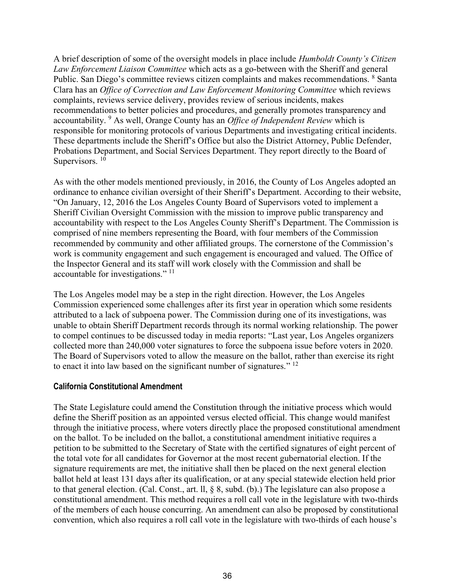A brief description of some of the oversight models in place include *Humboldt County's Citizen Law Enforcement Liaison Committee* which acts as a go-between with the Sheriff and general Public. San Diego's committee reviews citizen complaints and makes recommendations. <sup>8</sup> Santa Clara has an *Office of Correction and Law Enforcement Monitoring Committee* which reviews complaints, reviews service delivery, provides review of serious incidents, makes recommendations to better policies and procedures, and generally promotes transparency and accountability. <sup>9</sup> As well, Orange County has an *Office of Independent Review* which is responsible for monitoring protocols of various Departments and investigating critical incidents. These departments include the Sheriff's Office but also the District Attorney, Public Defender, Probations Department, and Social Services Department. They report directly to the Board of Supervisors.<sup>10</sup>

As with the other models mentioned previously, in 2016, the County of Los Angeles adopted an ordinance to enhance civilian oversight of their Sheriff's Department. According to their website, "On January, 12, 2016 the Los Angeles County Board of Supervisors voted to implement a Sheriff Civilian Oversight Commission with the mission to improve public transparency and accountability with respect to the Los Angeles County Sheriff's Department. The Commission is comprised of nine members representing the Board, with four members of the Commission recommended by community and other affiliated groups. The cornerstone of the Commission's work is community engagement and such engagement is encouraged and valued. The Office of the Inspector General and its staff will work closely with the Commission and shall be accountable for investigations."<sup>11</sup>

The Los Angeles model may be a step in the right direction. However, the Los Angeles Commission experienced some challenges after its first year in operation which some residents attributed to a lack of subpoena power. The Commission during one of its investigations, was unable to obtain Sheriff Department records through its normal working relationship. The power to compel continues to be discussed today in media reports: "Last year, Los Angeles organizers collected more than 240,000 voter signatures to force the subpoena issue before voters in 2020. The Board of Supervisors voted to allow the measure on the ballot, rather than exercise its right to enact it into law based on the significant number of signatures."  $^{12}$ 

#### **California Constitutional Amendment**

The State Legislature could amend the Constitution through the initiative process which would define the Sheriff position as an appointed versus elected official. This change would manifest through the initiative process, where voters directly place the proposed constitutional amendment on the ballot. To be included on the ballot, a constitutional amendment initiative requires a petition to be submitted to the Secretary of State with the certified signatures of eight percent of the total vote for all candidates for Governor at the most recent gubernatorial election. If the signature requirements are met, the initiative shall then be placed on the next general election ballot held at least 131 days after its qualification, or at any special statewide election held prior to that general election. (Cal. Const., art. ll, § 8, subd. (b).) The legislature can also propose a constitutional amendment. This method requires a roll call vote in the legislature with two-thirds of the members of each house concurring. An amendment can also be proposed by constitutional convention, which also requires a roll call vote in the legislature with two-thirds of each house's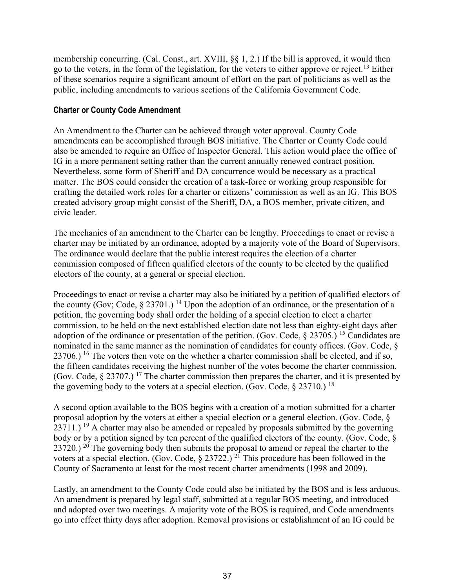membership concurring. (Cal. Const., art. XVIII, §§ 1, 2.) If the bill is approved, it would then go to the voters, in the form of the legislation, for the voters to either approve or reject.<sup>13</sup> Either of these scenarios require a significant amount of effort on the part of politicians as well as the public, including amendments to various sections of the California Government Code.

### **Charter or County Code Amendment**

An Amendment to the Charter can be achieved through voter approval. County Code amendments can be accomplished through BOS initiative. The Charter or County Code could also be amended to require an Office of Inspector General. This action would place the office of IG in a more permanent setting rather than the current annually renewed contract position. Nevertheless, some form of Sheriff and DA concurrence would be necessary as a practical matter. The BOS could consider the creation of a task-force or working group responsible for crafting the detailed work roles for a charter or citizens' commission as well as an IG. This BOS created advisory group might consist of the Sheriff, DA, a BOS member, private citizen, and civic leader.

The mechanics of an amendment to the Charter can be lengthy. Proceedings to enact or revise a charter may be initiated by an ordinance, adopted by a majority vote of the Board of Supervisors. The ordinance would declare that the public interest requires the election of a charter commission composed of fifteen qualified electors of the county to be elected by the qualified electors of the county, at a general or special election.

Proceedings to enact or revise a charter may also be initiated by a petition of qualified electors of the county (Gov; Code,  $\S 23701$ .) <sup>14</sup> Upon the adoption of an ordinance, or the presentation of a petition, the governing body shall order the holding of a special election to elect a charter commission, to be held on the next established election date not less than eighty-eight days after adoption of the ordinance or presentation of the petition. (Gov. Code, § 23705.) <sup>15</sup> Candidates are nominated in the same manner as the nomination of candidates for county offices. (Gov. Code, §  $23706$ .) <sup>16</sup> The voters then vote on the whether a charter commission shall be elected, and if so, the fifteen candidates receiving the highest number of the votes become the charter commission. (Gov. Code,  $\S 23707$ .) <sup>17</sup> The charter commission then prepares the charter, and it is presented by the governing body to the voters at a special election. (Gov. Code,  $\S 23710$ .) <sup>18</sup>

A second option available to the BOS begins with a creation of a motion submitted for a charter proposal adoption by the voters at either a special election or a general election. (Gov. Code, §  $23711.$ ) <sup>19</sup> A charter may also be amended or repealed by proposals submitted by the governing body or by a petition signed by ten percent of the qualified electors of the county. (Gov. Code, § 23720.) <sup>20</sup> The governing body then submits the proposal to amend or repeal the charter to the voters at a special election. (Gov. Code,  $\S 23722$ .) <sup>21</sup> This procedure has been followed in the County of Sacramento at least for the most recent charter amendments (1998 and 2009).

Lastly, an amendment to the County Code could also be initiated by the BOS and is less arduous. An amendment is prepared by legal staff, submitted at a regular BOS meeting, and introduced and adopted over two meetings. A majority vote of the BOS is required, and Code amendments go into effect thirty days after adoption. Removal provisions or establishment of an IG could be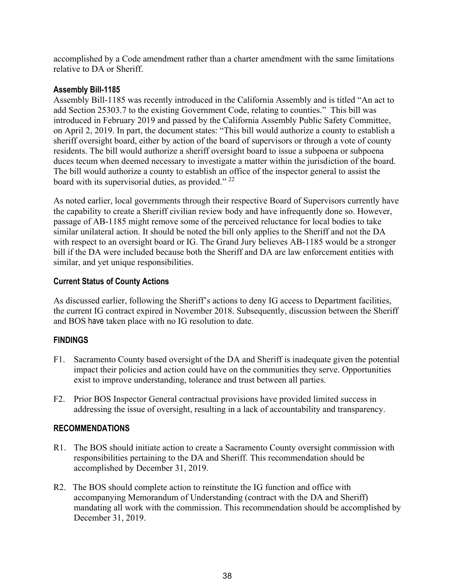accomplished by a Code amendment rather than a charter amendment with the same limitations relative to DA or Sheriff.

### **Assembly Bill-1185**

Assembly Bill-1185 was recently introduced in the California Assembly and is titled "An act to add Section 25303.7 to the existing Government Code, relating to counties." This bill was introduced in February 2019 and passed by the California Assembly Public Safety Committee, on April 2, 2019. In part, the document states: "This bill would authorize a county to establish a sheriff oversight board, either by action of the board of supervisors or through a vote of county residents. The bill would authorize a sheriff oversight board to issue a subpoena or subpoena duces tecum when deemed necessary to investigate a matter within the jurisdiction of the board. The bill would authorize a county to establish an office of the inspector general to assist the board with its supervisorial duties, as provided."<sup>22</sup>

As noted earlier, local governments through their respective Board of Supervisors currently have the capability to create a Sheriff civilian review body and have infrequently done so. However, passage of AB-1185 might remove some of the perceived reluctance for local bodies to take similar unilateral action. It should be noted the bill only applies to the Sheriff and not the DA with respect to an oversight board or IG. The Grand Jury believes AB-1185 would be a stronger bill if the DA were included because both the Sheriff and DA are law enforcement entities with similar, and yet unique responsibilities.

### **Current Status of County Actions**

As discussed earlier, following the Sheriff's actions to deny IG access to Department facilities, the current IG contract expired in November 2018. Subsequently, discussion between the Sheriff and BOS have taken place with no IG resolution to date.

### **FINDINGS**

- F1. Sacramento County based oversight of the DA and Sheriff is inadequate given the potential impact their policies and action could have on the communities they serve. Opportunities exist to improve understanding, tolerance and trust between all parties.
- F2. Prior BOS Inspector General contractual provisions have provided limited success in addressing the issue of oversight, resulting in a lack of accountability and transparency.

### **RECOMMENDATIONS**

- R1. The BOS should initiate action to create a Sacramento County oversight commission with responsibilities pertaining to the DA and Sheriff. This recommendation should be accomplished by December 31, 2019.
- R2. The BOS should complete action to reinstitute the IG function and office with accompanying Memorandum of Understanding (contract with the DA and Sheriff) mandating all work with the commission. This recommendation should be accomplished by December 31, 2019.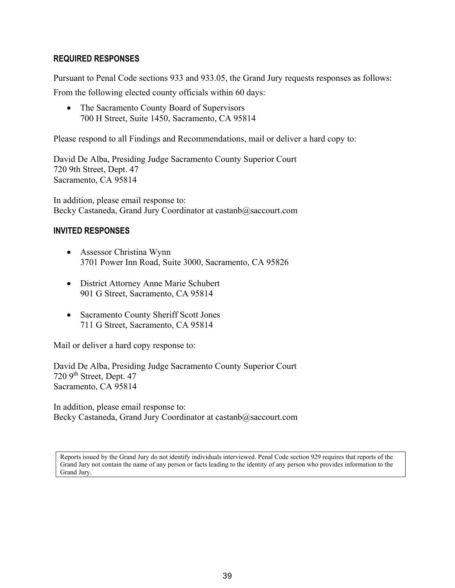### **REQUIRED RESPONSES**

Pursuant to Penal Code sections 933 and 933.05, the Grand Jury requests responses as follows:

From the following elected county officials within 60 days:

• The Sacramento County Board of Supervisors 700 H Street, Suite 1450, Sacramento, CA 95814

Please respond to all Findings and Recommendations, mail or deliver a hard copy to:

David De Alba, Presiding Judge Sacramento County Superior Court 720 9th Street, Dept. 47 Sacramento, CA 95814

In addition, please email response to: Becky Castaneda, Grand Jury Coordinator at castanb@saccourt.com

### **INVITED RESPONSES**

- Assessor Christina Wynn 3701 Power Inn Road, Suite 3000, Sacramento, CA 95826
- District Attorney Anne Marie Schubert 901 G Street, Sacramento, CA 95814
- Sacramento County Sheriff Scott Jones 711 G Street, Sacramento, CA 95814

Mail or deliver a hard copy response to:

David De Alba, Presiding Judge Sacramento County Superior Court 720 9<sup>th</sup> Street, Dept. 47 Sacramento, CA 95814

In addition, please email response to: Becky Castaneda, Grand Jury Coordinator at castanb@saccourt.com

Reports issued by the Grand Jury do not identify individuals interviewed. Penal Code section 929 requires that reports of the Grand Jury not contain the name of any person or facts leading to the identity of any person who provides information to the Grand Jury.